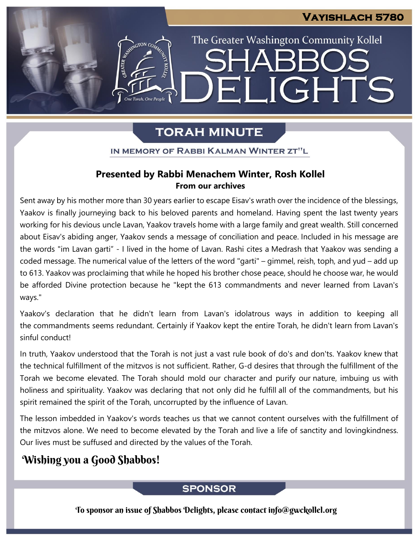The Greater Washington Community Kollel

ELIGHTS

## **TORAH MINUTE**

IN MEMORY OF RABBI KALMAN WINTER ZT"L

#### **Presented by Rabbi Menachem Winter, Rosh Kollel From our archives**

Sent away by his mother more than 30 years earlier to escape Eisav's wrath over the incidence of the blessings, Yaakov is finally journeying back to his beloved parents and homeland. Having spent the last twenty years working for his devious uncle Lavan, Yaakov travels home with a large family and great wealth. Still concerned about Eisav's abiding anger, Yaakov sends a message of conciliation and peace. Included in his message are the words "im Lavan garti" - I lived in the home of Lavan. Rashi cites a Medrash that Yaakov was sending a coded message. The numerical value of the letters of the word "garti" – gimmel, reish, toph, and yud – add up to 613. Yaakov was proclaiming that while he hoped his brother chose peace, should he choose war, he would be afforded Divine protection because he "kept the 613 commandments and never learned from Lavan's ways."

Yaakov's declaration that he didn't learn from Lavan's idolatrous ways in addition to keeping all the commandments seems redundant. Certainly if Yaakov kept the entire Torah, he didn't learn from Lavan's sinful conduct!

In truth, Yaakov understood that the Torah is not just a vast rule book of do's and don'ts. Yaakov knew that the technical fulfillment of the mitzvos is not sufficient. Rather, G-d desires that through the fulfillment of the Torah we become elevated. The Torah should mold our character and purify our nature, imbuing us with holiness and spirituality. Yaakov was declaring that not only did he fulfill all of the commandments, but his spirit remained the spirit of the Torah, uncorrupted by the influence of Lavan.

The lesson imbedded in Yaakov's words teaches us that we cannot content ourselves with the fulfillment of the mitzvos alone. We need to become elevated by the Torah and live a life of sanctity and lovingkindness. Our lives must be suffused and directed by the values of the Torah.

## Wishing you a Good Shabbos!

#### **SPONSOR**

To sponsor an issue of Shabbos Delights, please contact info@gwckollel.org